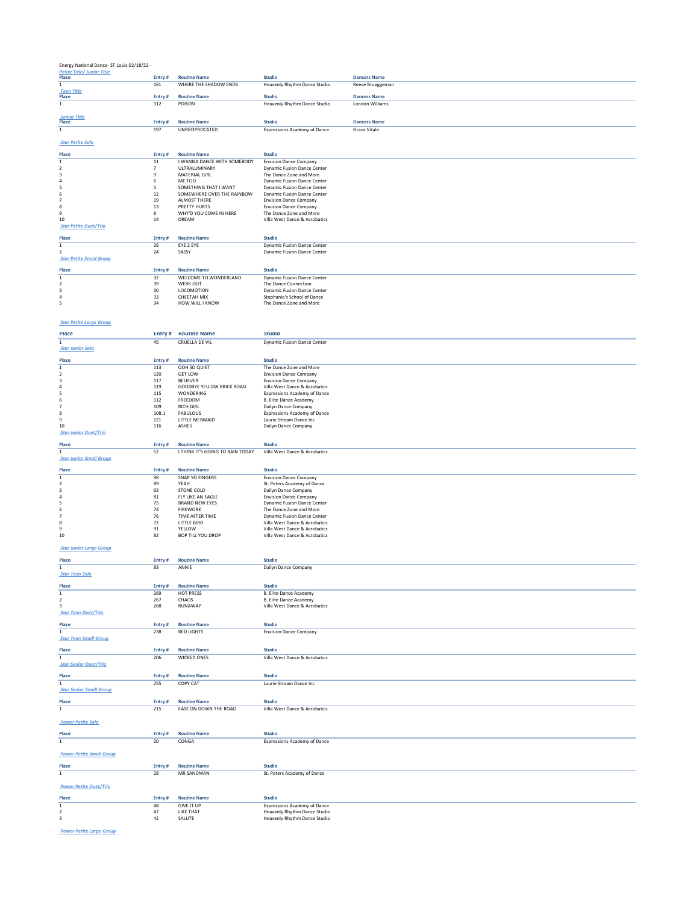## Energy National Dance- ST.Louis 02/18/22 - *Petite Title/ Junior Title*

| Place                                           | Entry#         | <b>Routine Name</b>                             | <b>Studio</b>                                                                                       | <b>Dancers Name</b>     |
|-------------------------------------------------|----------------|-------------------------------------------------|-----------------------------------------------------------------------------------------------------|-------------------------|
| $\mathbf 1$                                     | 161            | WHERE THE SHADOW ENDS                           | Heavenly Rhythm Dance Studio                                                                        | <b>Reese Brueggeman</b> |
| <b>Teen Title</b><br>Place                      | Entry#         | <b>Routine Name</b>                             | Studio                                                                                              | <b>Dancers Name</b>     |
| $\mathbf{1}$                                    | 312            | POISON                                          | <b>Heavenly Rhythm Dance Studio</b>                                                                 | <b>London Williams</b>  |
|                                                 |                |                                                 |                                                                                                     |                         |
| <b>Senior Title</b><br>Place                    | Entry#         | <b>Routine Name</b>                             | Studio                                                                                              | <b>Dancers Name</b>     |
| $\,$ 1                                          | 197            | UNRECIPROCATED                                  | <b>Expressions Academy of Dance</b>                                                                 | <b>Grace Vitale</b>     |
|                                                 |                |                                                 |                                                                                                     |                         |
| <b>Star Petite Solo</b>                         |                |                                                 |                                                                                                     |                         |
| Place                                           | Entry#         | <b>Routine Name</b>                             | <b>Studio</b>                                                                                       |                         |
| $\hat{1}$                                       | 11             | I WANNA DANCE WITH SOMEBODY                     | <b>Envision Dance Company</b>                                                                       |                         |
| $\overline{\mathbf{2}}$                         | 7              | ULTRALUMINARY                                   | <b>Dynamic Fusion Dance Center</b>                                                                  |                         |
|                                                 | 9              | MATERIAL GIRL                                   | The Dance Zone and More                                                                             |                         |
| 3<br>4<br>5<br>6<br>7                           | 6<br>5         | ME TOO<br>SOMETHING THAT I WANT                 | <b>Dynamic Fusion Dance Center</b><br><b>Dynamic Fusion Dance Center</b>                            |                         |
|                                                 | 12             | SOMEWHERE OVER THE RAINBOW                      | Dynamic Fusion Dance Center                                                                         |                         |
|                                                 | 19             | ALMOST THERE                                    | <b>Envision Dance Company</b>                                                                       |                         |
| $\bf8$<br>9                                     | 13<br>8        | PRETTY HURTS<br>WHY'D YOU COME IN HERE          | <b>Envision Dance Company</b><br>The Dance Zone and More                                            |                         |
| $10\,$                                          | $14\,$         | DREAM                                           | Villa West Dance & Acrobatics                                                                       |                         |
| <b>Star Petite Duet/Trio</b>                    |                |                                                 |                                                                                                     |                         |
|                                                 |                | <b>Routine Name</b>                             |                                                                                                     |                         |
| Place<br>$1\,$                                  | Entry#<br>26   | EYE 2 EYE                                       | <b>Studio</b><br><b>Dynamic Fusion Dance Center</b>                                                 |                         |
| $\overline{2}$                                  | 24             | SASSY                                           | <b>Dynamic Fusion Dance Center</b>                                                                  |                         |
| <b>Star Petite Small Group</b>                  |                |                                                 |                                                                                                     |                         |
| Place                                           | Entry#         | <b>Routine Name</b>                             | <b>Studio</b>                                                                                       |                         |
| $\,$ 1                                          | 32             | WELCOME TO WONDERLAND                           | Dynamic Fusion Dance Center                                                                         |                         |
| $\overline{\mathbf{c}}$                         | 39             | <b>WERK OUT</b>                                 | The Dance Connection                                                                                |                         |
| 3                                               | $30\,$         | LOCOMOTION                                      | Dynamic Fusion Dance Center                                                                         |                         |
| $\it 4$                                         | 33             | CHEETAH MIX                                     | Stephanie's School of Dance                                                                         |                         |
| 5                                               | 34             | HOW WILL I KNOW                                 | The Dance Zone and More                                                                             |                         |
|                                                 |                |                                                 |                                                                                                     |                         |
| <b>Star Petite Large Group</b>                  |                |                                                 |                                                                                                     |                         |
| Place                                           | Entry #        | <b>KOUTING NAME</b>                             | Studio                                                                                              |                         |
| 1                                               | 45             | <b>CRUELLA DE VIL</b>                           | <b>Dynamic Fusion Dance Center</b>                                                                  |                         |
| <b>Star Junior Solo</b>                         |                |                                                 |                                                                                                     |                         |
| Place                                           | Entry#         | <b>Routine Name</b>                             | <b>Studio</b>                                                                                       |                         |
| $\mathbf{1}$                                    | 113            | OOH SO QUIET                                    | The Dance Zone and More                                                                             |                         |
| $\mathbf 2$                                     | 120            | <b>GET LOW</b>                                  | <b>Envision Dance Company</b>                                                                       |                         |
|                                                 | 117            | <b>BELIEVER</b>                                 | <b>Envision Dance Company</b>                                                                       |                         |
|                                                 | 119<br>115     | GOODBYE YELLOW BRICK ROAD<br>WONDERING          | Villa West Dance & Acrobatics<br>Expressions Academy of Dance                                       |                         |
| $\begin{array}{c} 3 \\ 4 \\ 5 \\ 6 \end{array}$ | 112            | FREEDOM                                         | B. Elite Dance Academy                                                                              |                         |
| $\overline{\phantom{a}}$                        | 109            | RICH GIRL                                       | Dailyn Dance Company                                                                                |                         |
| 8                                               | 108.1          | <b>FABULOUS</b>                                 | <b>Expressions Academy of Dance</b>                                                                 |                         |
| 9<br>10                                         | 121<br>116     | LITTLE MERMAID<br>ASHES                         | Laurie Stream Dance Inc<br>Dailyn Dance Company                                                     |                         |
| <b>Star Junior Duet/Trio</b>                    |                |                                                 |                                                                                                     |                         |
|                                                 |                |                                                 |                                                                                                     |                         |
| Place<br>$\mathbf{1}$                           | Entry#<br>52   | <b>Routine Name</b>                             | <b>Studio</b>                                                                                       |                         |
|                                                 |                | I THINK IT'S GOING TO RAIN TODAY                | Villa West Dance & Acrobatics                                                                       |                         |
|                                                 |                |                                                 |                                                                                                     |                         |
| <b>Star Junior Small Group</b>                  |                |                                                 |                                                                                                     |                         |
| Place                                           | Entry#         | <b>Routine Name</b>                             | <b>Studio</b>                                                                                       |                         |
| $\mathbf{1}$                                    | 98             | <b>SNAP YO FINGERS</b>                          | <b>Envision Dance Company</b>                                                                       |                         |
|                                                 | 89<br>92       | YEAH<br>STONE COLD                              | St. Peters Academy of Dance                                                                         |                         |
|                                                 | 81             | FLY LIKE AN EAGLE                               | Dailyn Dance Company<br><b>Envision Dance Company</b>                                               |                         |
| $\begin{array}{c} 2 \\ 3 \\ 4 \\ 5 \end{array}$ | 75             | <b>BRAND NEW EYES</b>                           | <b>Dynamic Fusion Dance Center</b>                                                                  |                         |
| $\boldsymbol{6}$                                | 74             | <b>FIREWORK</b>                                 | The Dance Zone and More                                                                             |                         |
| $\overline{\phantom{a}}$<br>8                   | 76<br>72       | TIME AFTER TIME<br>LITTLE BIRD                  | <b>Dynamic Fusion Dance Center</b><br>Villa West Dance & Acrobatics                                 |                         |
| 9                                               | 91             | YELLOW                                          | Villa West Dance & Acrobatics                                                                       |                         |
| 10                                              | 82             | <b>BOP TILL YOU DROP</b>                        | Villa West Dance & Acrobatics                                                                       |                         |
|                                                 |                |                                                 |                                                                                                     |                         |
| <b>Star Junior Large Group</b>                  |                |                                                 |                                                                                                     |                         |
| Place                                           | Entry#         | <b>Routine Name</b>                             | <b>Studio</b>                                                                                       |                         |
| $\mathbf{1}$                                    | 83             | ANNIE                                           | Dailyn Dance Company                                                                                |                         |
| <b>Star Teen Solo</b>                           |                |                                                 |                                                                                                     |                         |
| Place                                           | Entry#         | <b>Routine Name</b>                             | <b>Studio</b>                                                                                       |                         |
| $\mathbf{1}$<br>$\overline{2}$                  | 269            | <b>HOT PRESS</b><br>CHAOS                       | <b>B. Elite Dance Academy</b>                                                                       |                         |
| 3                                               | 267<br>268     | RUNAWAY                                         | <b>B. Elite Dance Academy</b><br>Villa West Dance & Acrobatics                                      |                         |
| <b>Star Teen Duet/Trio</b>                      |                |                                                 |                                                                                                     |                         |
|                                                 |                |                                                 | <b>Studio</b>                                                                                       |                         |
| Place<br>$1\,$                                  | Entry#<br>238  | <b>Routine Name</b><br><b>RED LIGHTS</b>        | <b>Envision Dance Company</b>                                                                       |                         |
| <b>Star Teen Small Group</b>                    |                |                                                 |                                                                                                     |                         |
|                                                 |                |                                                 |                                                                                                     |                         |
| Place                                           | Entry#         | <b>Routine Name</b>                             | <b>Studio</b>                                                                                       |                         |
| $\mathbf{1}$<br><b>Star Senior Duet/Trio</b>    | 206            | <b>WICKED ONES</b>                              | Villa West Dance & Acrobatics                                                                       |                         |
|                                                 |                |                                                 |                                                                                                     |                         |
| Place                                           | Entry#         | <b>Routine Name</b>                             | <b>Studio</b>                                                                                       |                         |
| $\mathbf{1}$<br><b>Star Senior Small Group</b>  | 255            | COPY CAT                                        | Laurie Stream Dance Inc                                                                             |                         |
|                                                 |                |                                                 |                                                                                                     |                         |
| Place                                           | Entry#         | <b>Routine Name</b>                             | <b>Studio</b>                                                                                       |                         |
| $\mathbf{1}$                                    | 215            | EASE ON DOWN THE ROAD                           | Villa West Dance & Acrobatics                                                                       |                         |
| <b>Power Petite Solo</b>                        |                |                                                 |                                                                                                     |                         |
|                                                 |                |                                                 |                                                                                                     |                         |
| Place                                           | Entry#         | <b>Routine Name</b>                             | <b>Studio</b>                                                                                       |                         |
| $\,1\,$                                         | 20             | CONGA                                           | <b>Expressions Academy of Dance</b>                                                                 |                         |
| <b>Power Petite Small Group</b>                 |                |                                                 |                                                                                                     |                         |
|                                                 |                |                                                 |                                                                                                     |                         |
| Place                                           | Entry#         | <b>Routine Name</b>                             | <b>Studio</b>                                                                                       |                         |
| $\mathbf{1}$                                    | 28             | MR SANDMAN                                      | St. Peters Academy of Dance                                                                         |                         |
| <b>Power Petite Duet/Trio</b>                   |                |                                                 |                                                                                                     |                         |
| Place                                           |                |                                                 |                                                                                                     |                         |
| 1                                               | Entry#         | <b>Routine Name</b>                             | <b>Studio</b>                                                                                       |                         |
| $\sqrt{2}$<br>3                                 | 48<br>47<br>42 | <b>GIVE IT UP</b><br><b>LIKE THAT</b><br>SALUTE | <b>Expressions Academy of Dance</b><br>Heavenly Rhythm Dance Studio<br>Heavenly Rhythm Dance Studio |                         |

 *Power Petite Large Group*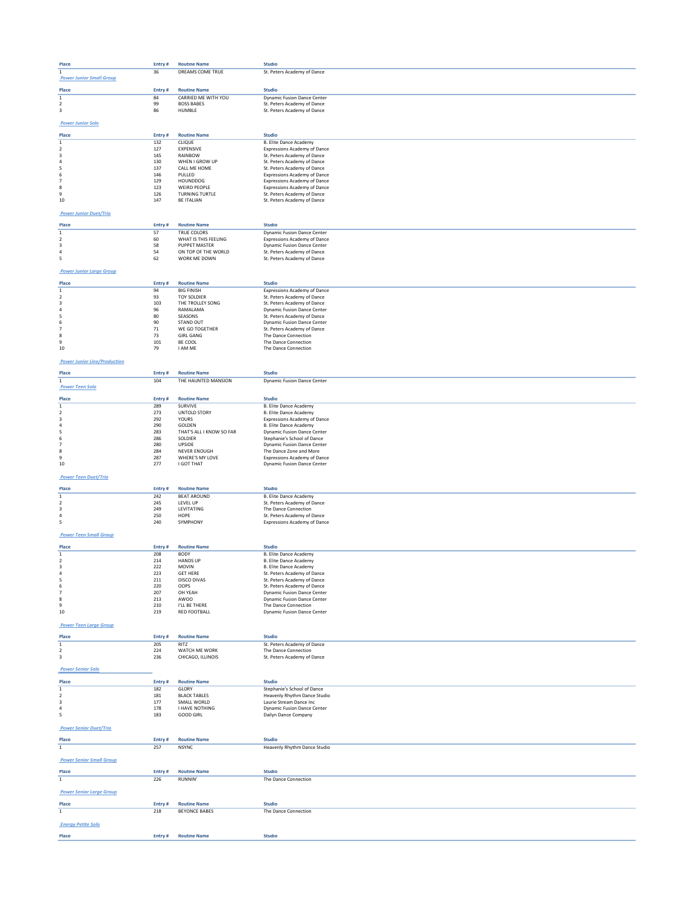| 1                                   | Entry#        | <b>Routine Name</b>                   | <b>Studio</b>                                                             |
|-------------------------------------|---------------|---------------------------------------|---------------------------------------------------------------------------|
|                                     | 36            | <b>DREAMS COME TRUE</b>               | St. Peters Academy of Dance                                               |
| <b>Power Junior Small Group</b>     |               |                                       |                                                                           |
| Place                               | Entry#        | <b>Routine Name</b>                   | <b>Studio</b>                                                             |
| 1                                   | 84            | CARRIED ME WITH YOU                   | <b>Dynamic Fusion Dance Center</b>                                        |
| 2                                   | 99            | <b>BOSS BABES</b>                     | St. Peters Academy of Dance                                               |
| 3                                   | 86            | HUMBLE                                | St. Peters Academy of Dance                                               |
| <b>Power Junior Solo</b>            |               |                                       |                                                                           |
|                                     |               |                                       |                                                                           |
| Place                               | Entry#        | <b>Routine Name</b>                   | Studio                                                                    |
| 1                                   | 132           | <b>CLIQUE</b><br>EXPENSIVE            | <b>B. Elite Dance Academy</b>                                             |
| 2                                   | 127<br>145    | RAINBOW                               | <b>Expressions Academy of Dance</b><br>St. Peters Academy of Dance        |
|                                     | 130           | WHEN I GROW UP                        | St. Peters Academy of Dance                                               |
|                                     | 137           | CALL ME HOME                          | St. Peters Academy of Dance                                               |
| 3<br>4<br>5<br>6<br>7               | 146<br>129    | PULLED<br><b>HOUNDDOG</b>             | <b>Expressions Academy of Dance</b>                                       |
| 8                                   | 123           | <b>WEIRD PEOPLE</b>                   | <b>Expressions Academy of Dance</b><br>Expressions Academy of Dance       |
| 9                                   | 126           | TURNING TURTLE                        | St. Peters Academy of Dance                                               |
| 10                                  | 147           | <b>BE ITALIAN</b>                     | St. Peters Academy of Dance                                               |
| <b>Power Junior Duet/Trio</b>       |               |                                       |                                                                           |
|                                     |               |                                       |                                                                           |
| Place                               | Entry#        | <b>Routine Name</b>                   | <b>Studio</b>                                                             |
| 1                                   | 57            | <b>TRUE COLORS</b>                    | <b>Dynamic Fusion Dance Center</b>                                        |
| 2<br>3                              | 60<br>58      | WHAT IS THIS FEELING<br>PUPPET MASTER | <b>Expressions Academy of Dance</b><br><b>Dynamic Fusion Dance Center</b> |
| 4                                   | 54            | ON TOP OF THE WORLD                   | St. Peters Academy of Dance                                               |
| 5                                   | 62            | WORK ME DOWN                          | St. Peters Academy of Dance                                               |
|                                     |               |                                       |                                                                           |
| <b>Power Junior Large Group</b>     |               |                                       |                                                                           |
| Place                               | Entry#        | <b>Routine Name</b>                   | Studio                                                                    |
| 1                                   | 94            | <b>BIG FINISH</b>                     | <b>Expressions Academy of Dance</b>                                       |
| 2                                   | 93            | <b>TOY SOLDIER</b>                    | St. Peters Academy of Dance                                               |
| 3<br>4                              | 103<br>96     | THE TROLLEY SONG<br>RAMALAMA          | St. Peters Academy of Dance<br><b>Dynamic Fusion Dance Center</b>         |
|                                     | 80            | SEASONS                               | St. Peters Academy of Dance                                               |
| 5<br>6<br>7                         | 90            | STAND OUT                             | <b>Dynamic Fusion Dance Center</b>                                        |
|                                     | $71\,$        | WE GO TOGETHER                        | St. Peters Academy of Dance                                               |
| 8<br>9                              | 73            | <b>GIRL GANG</b>                      | The Dance Connection<br>The Dance Connection                              |
| 10                                  | 101<br>79     | BE COOL<br>I AM ME                    | The Dance Connection                                                      |
|                                     |               |                                       |                                                                           |
| <b>Power Junior Line/Production</b> |               |                                       |                                                                           |
|                                     |               | <b>Routine Name</b>                   |                                                                           |
| Place                               | Entry#<br>104 | THE HAUNTED MANSION                   | <b>Studio</b><br><b>Dynamic Fusion Dance Center</b>                       |
| <b>Power Teen Solo</b>              |               |                                       |                                                                           |
|                                     |               |                                       |                                                                           |
| Place                               | Entry#        | <b>Routine Name</b>                   | Studio                                                                    |
| 1<br>2                              | 289<br>273    | <b>SURVIVE</b><br><b>UNTOLD STORY</b> | <b>B. Elite Dance Academy</b><br>B. Elite Dance Academy                   |
| 3                                   | 292           | YOURS                                 | <b>Expressions Academy of Dance</b>                                       |
|                                     | 290           | GOLDEN                                | <b>B. Elite Dance Academy</b>                                             |
|                                     | 283           | THAT'S ALL I KNOW SO FAR              | <b>Dynamic Fusion Dance Center</b>                                        |
| 4<br>5<br>6<br>7                    | 286<br>280    | SOLDIER<br>UPSIDE                     | Stephanie's School of Dance                                               |
| 8                                   | 284           | NEVER ENOUGH                          | Dynamic Fusion Dance Center<br>The Dance Zone and More                    |
| 9                                   | 287           | WHERE'S MY LOVE                       | <b>Expressions Academy of Dance</b>                                       |
| 10                                  | 277           | I GOT THAT                            | <b>Dynamic Fusion Dance Center</b>                                        |
|                                     |               |                                       |                                                                           |
| <b>Power Teen Duet/Trio</b>         |               |                                       |                                                                           |
| Place                               | Entry#        | <b>Routine Name</b>                   | <b>Studio</b>                                                             |
|                                     |               |                                       |                                                                           |
| 1                                   | 242           | <b>BEAT AROUND</b>                    | B. Elite Dance Academy                                                    |
| 2                                   | 245           | LEVEL UP                              | St. Peters Academy of Dance                                               |
| 3<br>4                              | 249           | LEVITATING                            | The Dance Connection                                                      |
| 5                                   | 250<br>240    | HOPE<br>SYMPHONY                      | St. Peters Academy of Dance<br><b>Expressions Academy of Dance</b>        |
|                                     |               |                                       |                                                                           |
| <b>Power Teen Small Group</b>       |               |                                       |                                                                           |
| Place                               | Entry#        | <b>Routine Name</b>                   | <b>Studio</b>                                                             |
| 1                                   | 208           | <b>BODY</b>                           | <b>B. Elite Dance Academy</b>                                             |
| 2                                   | 214           | <b>HANDS UP</b>                       | <b>B. Elite Dance Academy</b>                                             |
|                                     | 222           | MOVIN                                 | <b>B. Elite Dance Academy</b>                                             |
|                                     | 223           | <b>GET HERE</b><br><b>DISCO DIVAS</b> | St. Peters Academy of Dance                                               |
| 5<br>6                              | 211<br>220    | OOPS                                  | St. Peters Academy of Dance<br>St. Peters Academy of Dance                |
| 7                                   | 207           | OH YEAH                               | <b>Dynamic Fusion Dance Center</b>                                        |
| 8                                   | 213           | AWOO                                  | <b>Dynamic Fusion Dance Center</b>                                        |
| 9                                   | 210<br>219    | I'LL BE THERE<br>RED FOOTBALL         | The Dance Connection                                                      |
| 10                                  |               |                                       | Dynamic Fusion Dance Center                                               |
| <b>Power Teen Large Group</b>       |               |                                       |                                                                           |
|                                     |               | <b>Routine Name</b>                   | <b>Studio</b>                                                             |
| Place<br>$\mathbf{1}$               | Entry#<br>205 | <b>RITZ</b>                           | St. Peters Academy of Dance                                               |
| 2                                   | 224           | WATCH ME WORK                         | The Dance Connection                                                      |
| 3                                   | 236           | CHICAGO, ILLINOIS                     | St. Peters Academy of Dance                                               |
|                                     |               |                                       |                                                                           |
| <b>Power Senior Solo</b>            |               |                                       |                                                                           |
| Place                               | Entry#        | <b>Routine Name</b>                   | <b>Studio</b>                                                             |
|                                     | 182           | <b>GLORY</b>                          | Stephanie's School of Dance                                               |
| 2                                   | 181           | <b>BLACK TABLES</b>                   | Heavenly Rhythm Dance Studio                                              |
| 3<br>4                              | 177<br>178    | SMALL WORLD<br>I HAVE NOTHING         | Laurie Stream Dance Inc<br><b>Dynamic Fusion Dance Center</b>             |
| 5                                   | 183           | <b>GOOD GIRL</b>                      | Dailyn Dance Company                                                      |
|                                     |               |                                       |                                                                           |
| <b>Power Senior Duet/Trio</b>       |               |                                       |                                                                           |
| Place                               | Entry#        | <b>Routine Name</b>                   | <b>Studio</b>                                                             |
| 1                                   | 257           | <b>NSYNC</b>                          | Heavenly Rhythm Dance Studio                                              |
|                                     |               |                                       |                                                                           |
| <b>Power Senior Small Group</b>     |               |                                       |                                                                           |
| Place                               | Entry#        | <b>Routine Name</b>                   | <b>Studio</b>                                                             |
| 1                                   | 226           | RUNNIN'                               | The Dance Connection                                                      |
|                                     |               |                                       |                                                                           |
| <b>Power Senior Large Group</b>     |               |                                       |                                                                           |
| Place                               | Entry#        | <b>Routine Name</b>                   | <b>Studio</b>                                                             |
| 1                                   | 218           | <b>BEYONCE BABES</b>                  | The Dance Connection                                                      |
|                                     |               |                                       |                                                                           |
| <b>Energy Petite Solo</b>           |               |                                       |                                                                           |